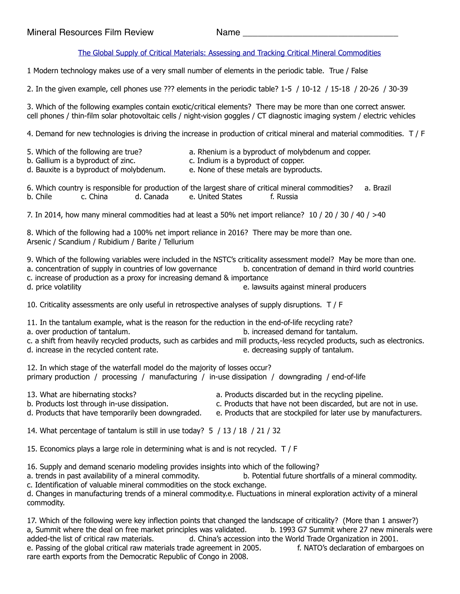## [The Global Supply of Critical Materials: Assessing and Tracking Critical Mineral Commodities](https://www.youtube.com/watch?v=FufLx3aRRX0)

1 Modern technology makes use of a very small number of elements in the periodic table. True / False

2. In the given example, cell phones use ??? elements in the periodic table? 1-5 / 10-12 / 15-18 / 20-26 / 30-39

3. Which of the following examples contain exotic/critical elements? There may be more than one correct answer. cell phones / thin-film solar photovoltaic cells / night-vision goggles / CT diagnostic imaging system / electric vehicles

4. Demand for new technologies is driving the increase in production of critical mineral and material commodities. T / F

- 
- 5. Which of the following are true? a. Rhenium is a byproduct of molybdenum and copper.
- b. Gallium is a byproduct of zinc. c. Indium is a byproduct of copper.
- d. Bauxite is a byproduct of molybdenum. e. None of these metals are byproducts.

|          |          |           |                  | 6. Which country is responsible for production of the largest share of critical mineral commodities? a. Brazil |  |
|----------|----------|-----------|------------------|----------------------------------------------------------------------------------------------------------------|--|
| b. Chile | c. China | d. Canada | e. United States | f. Russia                                                                                                      |  |

7. In 2014, how many mineral commodities had at least a 50% net import reliance? 10 / 20 / 30 / 40 / >40

8. Which of the following had a 100% net import reliance in 2016? There may be more than one. Arsenic / Scandium / Rubidium / Barite / Tellurium

9. Which of the following variables were included in the NSTC's criticality assessment model? May be more than one. a. concentration of supply in countries of low governance b. concentration of demand in third world countries c. increase of production as a proxy for increasing demand & importance d. price volatility e. lawsuits against mineral producers

10. Criticality assessments are only useful in retrospective analyses of supply disruptions. T / F

11. In the tantalum example, what is the reason for the reduction in the end-of-life recycling rate?

- a. over production of tantalum. b. increased demand for tantalum.
- c. a shift from heavily recycled products, such as carbides and mill products,-less recycled products, such as electronics. d. increase in the recycled content rate. e. e. decreasing supply of tantalum.

12. In which stage of the waterfall model do the majority of losses occur? primary production / processing / manufacturing / in-use dissipation / downgrading / end-of-life

- 
- 13. What are hibernating stocks? a. Products discarded but in the recycling pipeline.
- b. Products lost through in-use dissipation. c. Products that have not been discarded, but are not in use.
- d. Products that have temporarily been downgraded. e. Products that are stockpiled for later use by manufacturers.
- 
- -

14. What percentage of tantalum is still in use today? 5 / 13 / 18 / 21 / 32

15. Economics plays a large role in determining what is and is not recycled. T / F

16. Supply and demand scenario modeling provides insights into which of the following?

a. trends in past availability of a mineral commodity. b. Potential future shortfalls of a mineral commodity.

c. Identification of valuable mineral commodities on the stock exchange. d. Changes in manufacturing trends of a mineral commodity.e. Fluctuations in mineral exploration activity of a mineral commodity.

17. Which of the following were key inflection points that changed the landscape of criticality? (More than 1 answer?) a, Summit where the deal on free market principles was validated. b. 1993 G7 Summit where 27 new minerals were added-the list of critical raw materials. d. China's accession into the World Trade Organization in 2001. e. Passing of the global critical raw materials trade agreement in 2005. f. NATO's declaration of embargoes on rare earth exports from the Democratic Republic of Congo in 2008.